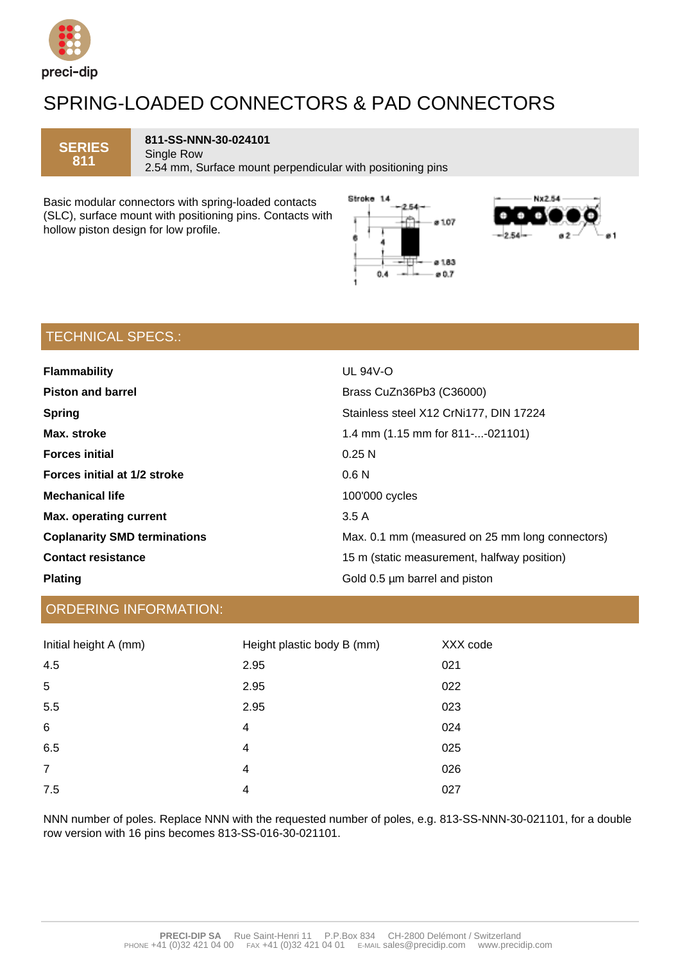

## SPRING-LOADED CONNECTORS & PAD CONNECTORS

**SERIES 811** 

**811-SS-NNN-30-024101** Single Row

2.54 mm, Surface mount perpendicular with positioning pins

Basic modular connectors with spring-loaded contacts (SLC), surface mount with positioning pins. Contacts with hollow piston design for low profile.





### TECHNICAL SPECS.:

| <b>Flammability</b>                 | <b>UL 94V-O</b>                                 |  |
|-------------------------------------|-------------------------------------------------|--|
| <b>Piston and barrel</b>            | Brass CuZn36Pb3 (C36000)                        |  |
| <b>Spring</b>                       | Stainless steel X12 CrNi177, DIN 17224          |  |
| Max. stroke                         | 1.4 mm (1.15 mm for 811--021101)                |  |
| <b>Forces initial</b>               | 0.25N                                           |  |
| Forces initial at 1/2 stroke        | 0.6 <sub>N</sub>                                |  |
| <b>Mechanical life</b>              | 100'000 cycles                                  |  |
| <b>Max. operating current</b>       | 3.5 A                                           |  |
| <b>Coplanarity SMD terminations</b> | Max. 0.1 mm (measured on 25 mm long connectors) |  |
| <b>Contact resistance</b>           | 15 m (static measurement, halfway position)     |  |
| <b>Plating</b>                      | Gold 0.5 µm barrel and piston                   |  |

### ORDERING INFORMATION:

| Initial height A (mm) | Height plastic body B (mm) | XXX code |
|-----------------------|----------------------------|----------|
| 4.5                   | 2.95                       | 021      |
| 5                     | 2.95                       | 022      |
| 5.5                   | 2.95                       | 023      |
| $\,6$                 | 4                          | 024      |
| 6.5                   | 4                          | 025      |
| $\overline{7}$        | 4                          | 026      |
| 7.5                   | 4                          | 027      |

NNN number of poles. Replace NNN with the requested number of poles, e.g. 813-SS-NNN-30-021101, for a double row version with 16 pins becomes 813-SS-016-30-021101.